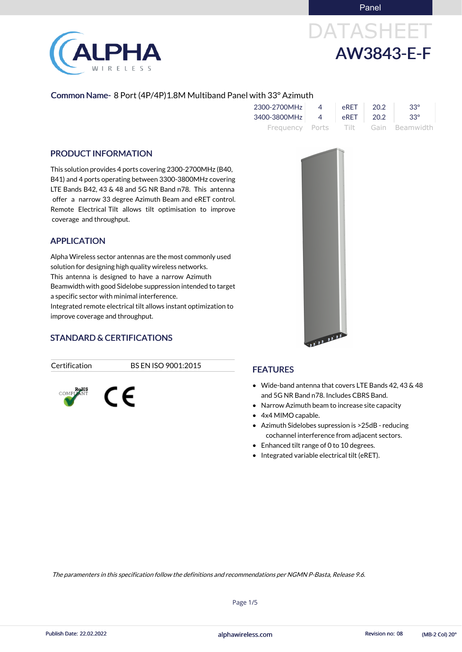Panel

# DATASHEET AW3843-E-F

#### Common Name- 8 Port (4P/4P)1.8M Multiband Panel with 33° Azimuth

| 2300-2700MHz |          | <b>eRFT</b> | 20.2  | $33^\circ$                          |
|--------------|----------|-------------|-------|-------------------------------------|
| 3400-3800MHz | $\sim$ 4 | eRET        | -20.2 | $33^\circ$                          |
|              |          |             |       | Frequency Ports Tilt Gain Beamwidth |

#### PRODUCT INFORMATION

This solution provides 4 ports covering 2300-2700MHz (B40, B41) and 4 ports operating between 3300-3800MHz covering LTE Bands B42, 43 & 48 and 5G NR Band n78. This antenna offer a narrow 33 degree Azimuth Beam and eRET control. Remote Electrical Tilt allows tilt optimisation to improve coverage and throughput.

- Wide-band antenna that covers LTE Bands 42, 43 & 48 and 5G NR Band n78. Includes CBRS Band.
- Narrow Azimuth beam to increase site capacity
- 4x4 MIMO capable.
- Azimuth Sidelobes supression is >25dB reducing cochannel interference from adjacent sectors.
- Enhanced tilt range of 0 to 10 degrees.
- Integrated variable electrical tilt (eRET).





#### APPLICATION

Alpha Wireless sector antennas are the most commonly used solution for designing high quality wireless networks. This antenna is designed to have a narrow Azimuth Beamwidth with good Sidelobe suppression intended to target a specific sector with minimal interference. Integrated remote electrical tilt allows instant optimization to improve coverage and throughput.

### STANDARD & CERTIFICATIONS

C E

Certification BS EN ISO 9001:2015



Page 1/5

The paramenters in this specification follow the definitions and recommendations per NGMN P-Basta, Release 9.6.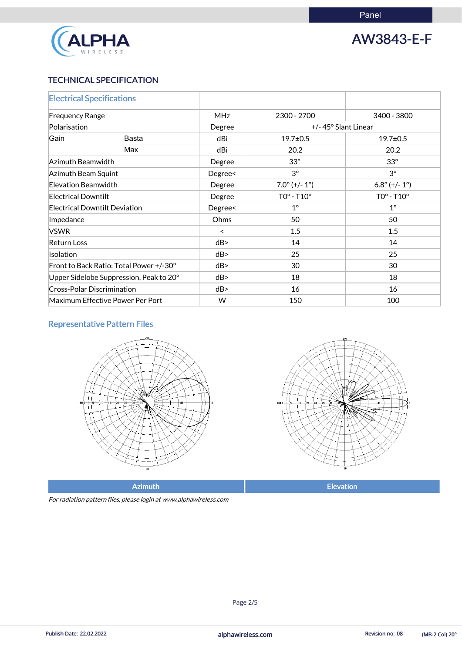

AW3843-E-F

#### TECHNICAL SPECIFICATION

| <b>Electrical Specifications</b>        |                                         |            |                        |                        |
|-----------------------------------------|-----------------------------------------|------------|------------------------|------------------------|
| <b>Frequency Range</b>                  |                                         | <b>MHz</b> | 2300 - 2700            | 3400 - 3800            |
| Polarisation                            |                                         | Degree     | +/-45° Slant Linear    |                        |
| Gain                                    | Basta                                   | dBi        | $19.7 \pm 0.5$         | $19.7 \pm 0.5$         |
|                                         | Max                                     | dBi        | 20.2                   | 20.2                   |
|                                         | Azimuth Beamwidth                       |            | $33^\circ$             | $33^\circ$             |
| Azimuth Beam Squint                     |                                         | Degree<    | $3^{\circ}$            | $3^{\circ}$            |
| <b>Elevation Beamwidth</b>              |                                         | Degree     | $7.0^{\circ}$ (+/- 1°) | $6.8^{\circ}$ (+/- 1°) |
| <b>Electrical Downtilt</b>              |                                         | Degree     | $TOo - T10o$           | $TOo - T10o$           |
| <b>Electrical Downtilt Deviation</b>    |                                         | Degree<    | $1^{\circ}$            | $1^{\circ}$            |
| Impedance                               |                                         | Ohms       | 50                     | 50                     |
| <b>VSWR</b>                             |                                         | $\prec$    | 1.5                    | 1.5                    |
| Return Loss                             |                                         | dB         | 14                     | 14                     |
| <b>Isolation</b>                        |                                         | dB         | 25                     | 25                     |
|                                         | Front to Back Ratio: Total Power +/-30° | dB         | 30                     | 30                     |
| Upper Sidelobe Suppression, Peak to 20° |                                         | dB         | 18                     | 18                     |
| <b>Cross-Polar Discrimination</b>       |                                         | dB         | 16                     | 16                     |
| Maximum Effective Power Per Port        |                                         | W          | 150                    | 100                    |

### Representative Pattern Files





Azimuth **Elevation** 

For radiation pattern files, please login at www.alphawireless.com

#### alphawireless.com

Publish Date: 22.02.2022 **Revision no: 08** (MB-2 Col) 20° alphawireless.com

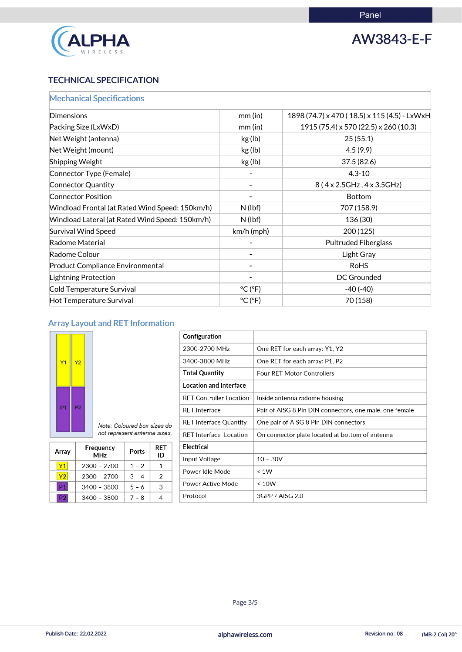

## AW3843-E-F

### TECHNICAL SPECIFICATION

| <b>Mechanical Specifications</b>                |                              |                                                |
|-------------------------------------------------|------------------------------|------------------------------------------------|
| Dimensions                                      | $mm$ (in)                    | 1898 (74.7) x 470 (18.5) x 115 (4.5) - LxWxH   |
| Packing Size (LxWxD)                            | $mm$ (in)                    | $1915(75.4) \times 570(22.5) \times 260(10.3)$ |
| Net Weight (antenna)                            | kg (lb)                      | 25(55.1)                                       |
| Net Weight (mount)                              | kg (lb)                      | 4.5(9.9)                                       |
| <b>Shipping Weight</b>                          | kg (lb)                      | 37.5(82.6)                                     |
| Connector Type (Female)                         |                              | $4.3 - 10$                                     |
| Connector Quantity                              |                              | 8 (4 x 2.5 GHz, 4 x 3.5 GHz)                   |
| <b>Connector Position</b>                       |                              | <b>Bottom</b>                                  |
| Windload Frontal (at Rated Wind Speed: 150km/h) | N(lbf)                       | 707 (158.9)                                    |
| Windload Lateral (at Rated Wind Speed: 150km/h) | N(lbf)                       | 136 (30)                                       |
| <b>Survival Wind Speed</b>                      | km/h (mph)                   | 200 (125)                                      |
| Radome Material                                 |                              | <b>Pultruded Fiberglass</b>                    |
| Radome Colour                                   |                              | Light Gray                                     |
| <b>Product Compliance Environmental</b>         |                              | <b>RoHS</b>                                    |
| <b>Lightning Protection</b>                     |                              | <b>DC Grounded</b>                             |
| Cold Temperature Survival                       | $^{\circ}$ C ( $^{\circ}$ F) | $-40(-40)$                                     |
| Hot Temperature Survival                        | $^{\circ}$ C ( $^{\circ}$ F) | 70 (158)                                       |

### Array Layout and RET Information



| Configuration                  |                                                         |
|--------------------------------|---------------------------------------------------------|
| 2300-2700 MHz                  | One RET for each array: Y1, Y2                          |
| 3400-3800 MHz                  | One RET for each array: P1, P2                          |
| <b>Total Quantity</b>          | <b>Four RET Motor Controllers</b>                       |
| <b>Location and Interface</b>  |                                                         |
| <b>RET Controller Location</b> | Inside antenna radome housing                           |
| <b>RET</b> Interface           | Pair of AISG 8 Pin DIN connectors, one male, one female |
| RET Interface Quantity         | One pair of AISG 8 Pin DIN connectors                   |
| <b>RET</b> Interface Location  | On connector plate located at bottom of antenna         |
| <b>Electrical</b>              |                                                         |
| Input Voltage                  | $10 - 30V$                                              |
| Power Idle Mode                | $\leq 1W$                                               |
| Power Active Mode              | ~< 10W                                                  |
|                                |                                                         |

| Note: Coloured box sizes do  |  |
|------------------------------|--|
| not represent antenna sizes. |  |

| Array | Frequency<br><b>MHz</b> | Ports   | RET<br>ID |
|-------|-------------------------|---------|-----------|
| Y1    | $2300 - 2700$           | $1 - 2$ | 1         |
| Υ2    | $2300 - 2700$           | $3 - 4$ | 2         |
| P1    | $3400 - 3800$           | $5 - 6$ | З         |

|  | 3400<br>$-3800$ |  |  |
|--|-----------------|--|--|
|--|-----------------|--|--|

Protocol

3GPP / AISG 2.0

#### alphawireless.com

Publish Date: 22.02.2022 **Exercise 2018 Publish Date: 22.02.2022 Revision no: 08** (MB-2 Col) 20°

Page 3/5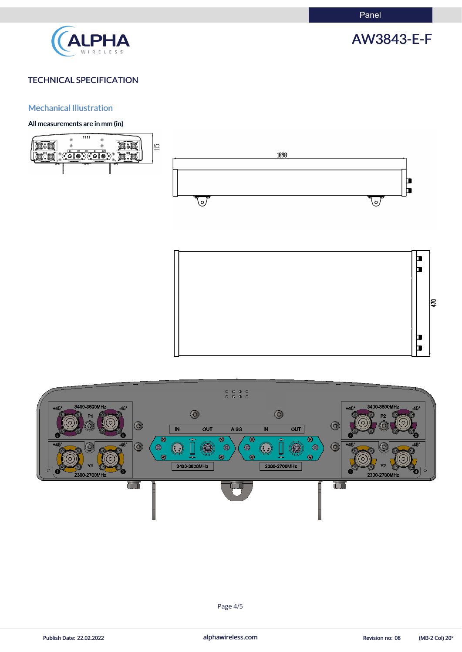Panel



## AW3843-E-F

#### TECHNICAL SPECIFICATION

#### Mechanical Illustration

#### All measurements are in mm (in)









Page 4/5

Publish Date: 22.02.2022 **alphawireless.com** and alphawireless.com Revision no: 08 (MB-2 Col) 20°